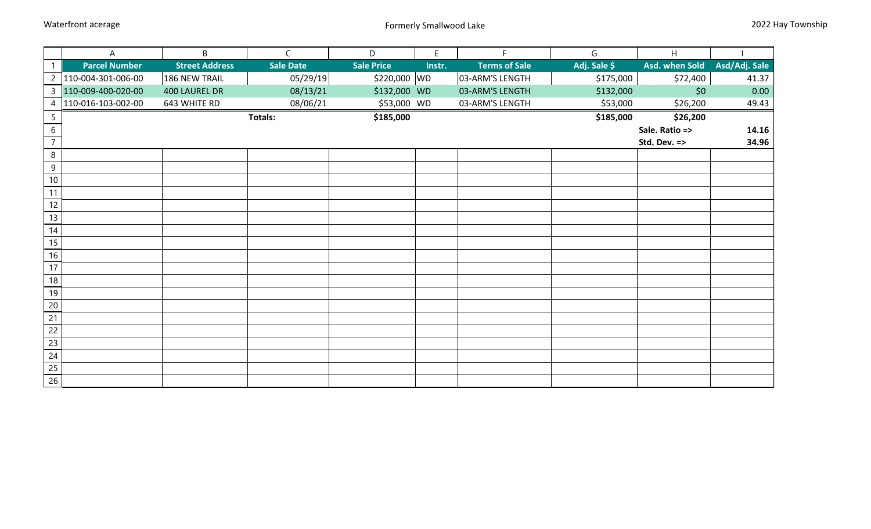|                 | Α                    | B                     | $\mathsf{C}$     | D                 | E      | F.                   | G            | H              |               |
|-----------------|----------------------|-----------------------|------------------|-------------------|--------|----------------------|--------------|----------------|---------------|
| $\mathbf{1}$    | <b>Parcel Number</b> | <b>Street Address</b> | <b>Sale Date</b> | <b>Sale Price</b> | Instr. | <b>Terms of Sale</b> | Adj. Sale \$ | Asd. when Sold | Asd/Adj. Sale |
| $\overline{2}$  | 110-004-301-006-00   | 186 NEW TRAIL         | 05/29/19         | \$220,000 WD      |        | 03-ARM'S LENGTH      | \$175,000    | \$72,400       | 41.37         |
| $\mathbf{3}$    | 110-009-400-020-00   | 400 LAUREL DR         | 08/13/21         | \$132,000 WD      |        | 03-ARM'S LENGTH      | \$132,000    | \$0            | 0.00          |
| 4               | 110-016-103-002-00   | 643 WHITE RD          | 08/06/21         | \$53,000 WD       |        | 03-ARM'S LENGTH      | \$53,000     | \$26,200       | 49.43         |
| $5\overline{)}$ |                      |                       | <b>Totals:</b>   | \$185,000         |        |                      | \$185,000    | \$26,200       |               |
| $6\overline{6}$ |                      |                       |                  |                   |        |                      |              | Sale. Ratio => | 14.16         |
| $\overline{7}$  |                      |                       |                  |                   |        |                      |              | Std. Dev. =>   | 34.96         |
| 8               |                      |                       |                  |                   |        |                      |              |                |               |
| 9               |                      |                       |                  |                   |        |                      |              |                |               |
| $10\,$          |                      |                       |                  |                   |        |                      |              |                |               |
| 11              |                      |                       |                  |                   |        |                      |              |                |               |
| 12              |                      |                       |                  |                   |        |                      |              |                |               |
| 13              |                      |                       |                  |                   |        |                      |              |                |               |
| 14              |                      |                       |                  |                   |        |                      |              |                |               |
| 15              |                      |                       |                  |                   |        |                      |              |                |               |
| 16              |                      |                       |                  |                   |        |                      |              |                |               |
| 17              |                      |                       |                  |                   |        |                      |              |                |               |
| $18\,$          |                      |                       |                  |                   |        |                      |              |                |               |
| 19              |                      |                       |                  |                   |        |                      |              |                |               |
| 20              |                      |                       |                  |                   |        |                      |              |                |               |
| 21              |                      |                       |                  |                   |        |                      |              |                |               |
| 22              |                      |                       |                  |                   |        |                      |              |                |               |
| 23              |                      |                       |                  |                   |        |                      |              |                |               |
| 24              |                      |                       |                  |                   |        |                      |              |                |               |
| 25              |                      |                       |                  |                   |        |                      |              |                |               |
| $\overline{26}$ |                      |                       |                  |                   |        |                      |              |                |               |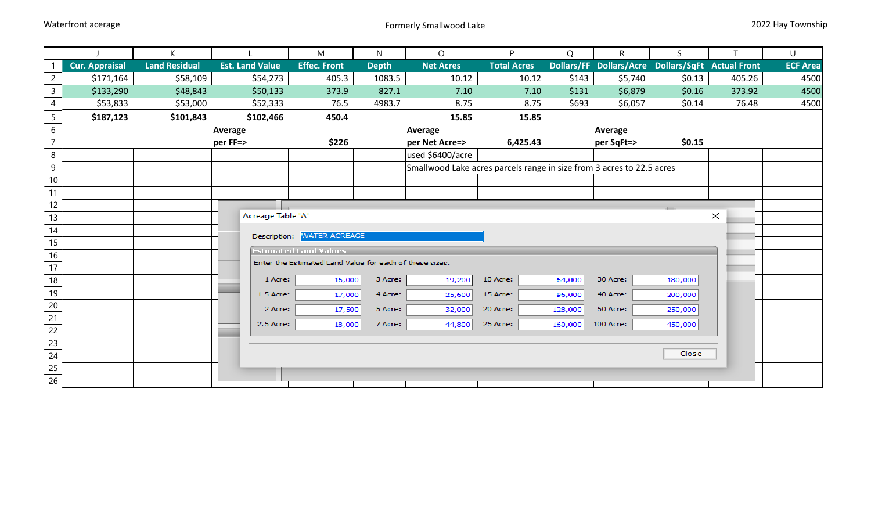|                |                       | K                    |                        | M                                                       | N            | $\circ$                                                               | P.                 | Q       | $\mathsf{R}$ | S.                                                |          | U               |
|----------------|-----------------------|----------------------|------------------------|---------------------------------------------------------|--------------|-----------------------------------------------------------------------|--------------------|---------|--------------|---------------------------------------------------|----------|-----------------|
|                | <b>Cur. Appraisal</b> | <b>Land Residual</b> | <b>Est. Land Value</b> | <b>Effec. Front</b>                                     | <b>Depth</b> | <b>Net Acres</b>                                                      | <b>Total Acres</b> |         |              | Dollars/FF Dollars/Acre Dollars/SqFt Actual Front |          | <b>ECF Area</b> |
| $\overline{2}$ | \$171,164             | \$58,109             | \$54,273               | 405.3                                                   | 1083.5       | 10.12                                                                 | 10.12              | \$143   | \$5,740      | \$0.13                                            | 405.26   | 4500            |
| $\mathsf{3}$   | \$133,290             | \$48,843             | \$50,133               | 373.9                                                   | 827.1        | 7.10                                                                  | 7.10               | \$131   | \$6,879      | \$0.16                                            | 373.92   | 4500            |
| $\overline{4}$ | \$53,833              | \$53,000             | \$52,333               | 76.5                                                    | 4983.7       | 8.75                                                                  | 8.75               | \$693   | \$6,057      | \$0.14                                            | 76.48    | 4500            |
| 5              | \$187,123             | \$101,843            | \$102,466              | 450.4                                                   |              | 15.85                                                                 | 15.85              |         |              |                                                   |          |                 |
| 6              |                       |                      | Average                |                                                         |              | Average                                                               |                    |         | Average      |                                                   |          |                 |
| $\overline{7}$ |                       |                      | per FF=>               | \$226                                                   |              | per Net Acre=>                                                        | 6,425.43           |         | per SqFt=>   | \$0.15                                            |          |                 |
| 8              |                       |                      |                        |                                                         |              | used \$6400/acre                                                      |                    |         |              |                                                   |          |                 |
| 9              |                       |                      |                        |                                                         |              | Smallwood Lake acres parcels range in size from 3 acres to 22.5 acres |                    |         |              |                                                   |          |                 |
| $10\,$         |                       |                      |                        |                                                         |              |                                                                       |                    |         |              |                                                   |          |                 |
| 11             |                       |                      |                        |                                                         |              |                                                                       |                    |         |              |                                                   |          |                 |
| 12             |                       |                      |                        |                                                         |              |                                                                       |                    |         |              |                                                   |          |                 |
| 13             |                       |                      | Acreage Table 'A'      |                                                         |              |                                                                       |                    |         |              |                                                   | $\times$ |                 |
| 14             |                       |                      |                        | Description: WATER ACREAGE                              |              |                                                                       |                    |         |              |                                                   |          |                 |
| 15             |                       |                      |                        | <b>Estimated Land Values</b>                            |              |                                                                       |                    |         |              |                                                   |          |                 |
| 16             |                       |                      |                        | Enter the Estimated Land Value for each of these sizes. |              |                                                                       |                    |         |              |                                                   |          |                 |
| 17             |                       |                      |                        |                                                         |              |                                                                       |                    |         |              |                                                   |          |                 |
| 18             |                       |                      | 1 Acre:                | 16,000                                                  | 3 Acre:      | 19,200                                                                | 10 Acre:           | 64,000  | 30 Acre:     | 180,000                                           |          |                 |
| 19             |                       |                      | 1.5 Acre:              | 17,000                                                  | 4 Acre:      | 25,600                                                                | 15 Acre:           | 96,000  | 40 Acre:     | 200,000                                           |          |                 |
| 20             |                       |                      | 2 Acre:                | 17,500                                                  | 5 Acre:      | 32,000                                                                | 20 Acre:           | 128,000 | 50 Acre:     | 250,000                                           |          |                 |
| 21             |                       |                      | 2.5 Acre:              | 18,000                                                  | 7 Acre:      | 44,800                                                                | 25 Acre:           | 160,000 | 100 Acre:    | 450,000                                           |          |                 |
| 22             |                       |                      |                        |                                                         |              |                                                                       |                    |         |              |                                                   |          |                 |
| 23             |                       |                      |                        |                                                         |              |                                                                       |                    |         |              | Close                                             |          |                 |
| 24             |                       |                      |                        |                                                         |              |                                                                       |                    |         |              |                                                   |          |                 |
| 25             |                       |                      |                        |                                                         |              |                                                                       |                    |         |              |                                                   |          |                 |
| 26             |                       |                      |                        |                                                         |              |                                                                       |                    |         |              |                                                   |          |                 |